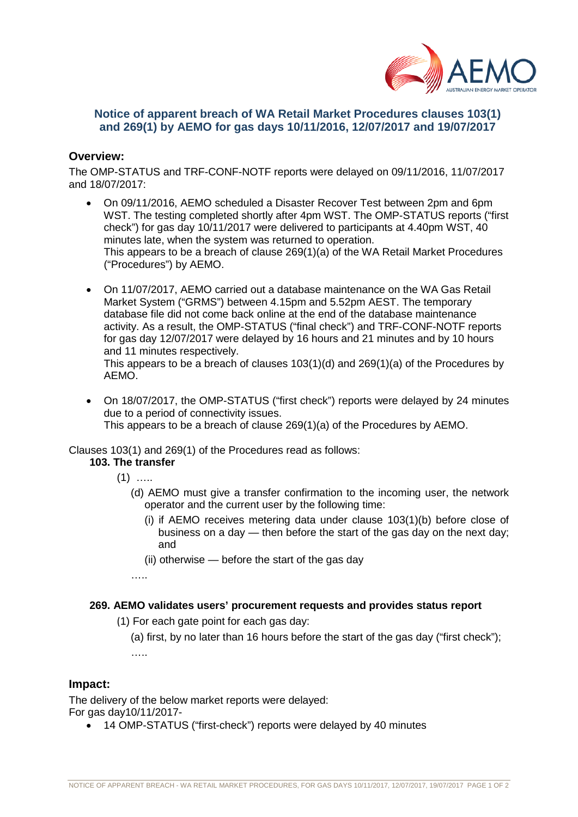

## **Notice of apparent breach of WA Retail Market Procedures clauses 103(1) and 269(1) by AEMO for gas days 10/11/2016, 12/07/2017 and 19/07/2017**

#### **Overview:**

The OMP-STATUS and TRF-CONF-NOTF reports were delayed on 09/11/2016, 11/07/2017 and 18/07/2017:

- On 09/11/2016, AEMO scheduled a Disaster Recover Test between 2pm and 6pm WST. The testing completed shortly after 4pm WST. The OMP-STATUS reports ("first check") for gas day 10/11/2017 were delivered to participants at 4.40pm WST, 40 minutes late, when the system was returned to operation. This appears to be a breach of clause 269(1)(a) of the WA Retail Market Procedures ("Procedures") by AEMO.
- On 11/07/2017, AEMO carried out a database maintenance on the WA Gas Retail Market System ("GRMS") between 4.15pm and 5.52pm AEST. The temporary database file did not come back online at the end of the database maintenance activity. As a result, the OMP-STATUS ("final check") and TRF-CONF-NOTF reports for gas day 12/07/2017 were delayed by 16 hours and 21 minutes and by 10 hours and 11 minutes respectively.

This appears to be a breach of clauses 103(1)(d) and 269(1)(a) of the Procedures by AEMO.

• On 18/07/2017, the OMP-STATUS ("first check") reports were delayed by 24 minutes due to a period of connectivity issues. This appears to be a breach of clause 269(1)(a) of the Procedures by AEMO.

Clauses 103(1) and 269(1) of the Procedures read as follows:

# **103. The transfer**

- $(1)$  …
	- (d) AEMO must give a transfer confirmation to the incoming user, the network operator and the current user by the following time:
		- (i) if AEMO receives metering data under clause 103(1)(b) before close of business on a day — then before the start of the gas day on the next day; and
		- (ii) otherwise before the start of the gas day
	- ……

#### **269. AEMO validates users' procurement requests and provides status report**

- (1) For each gate point for each gas day:
	- (a) first, by no later than 16 hours before the start of the gas day ("first check"); ….

#### **Impact:**

The delivery of the below market reports were delayed: For gas day10/11/2017-

• 14 OMP-STATUS ("first-check") reports were delayed by 40 minutes